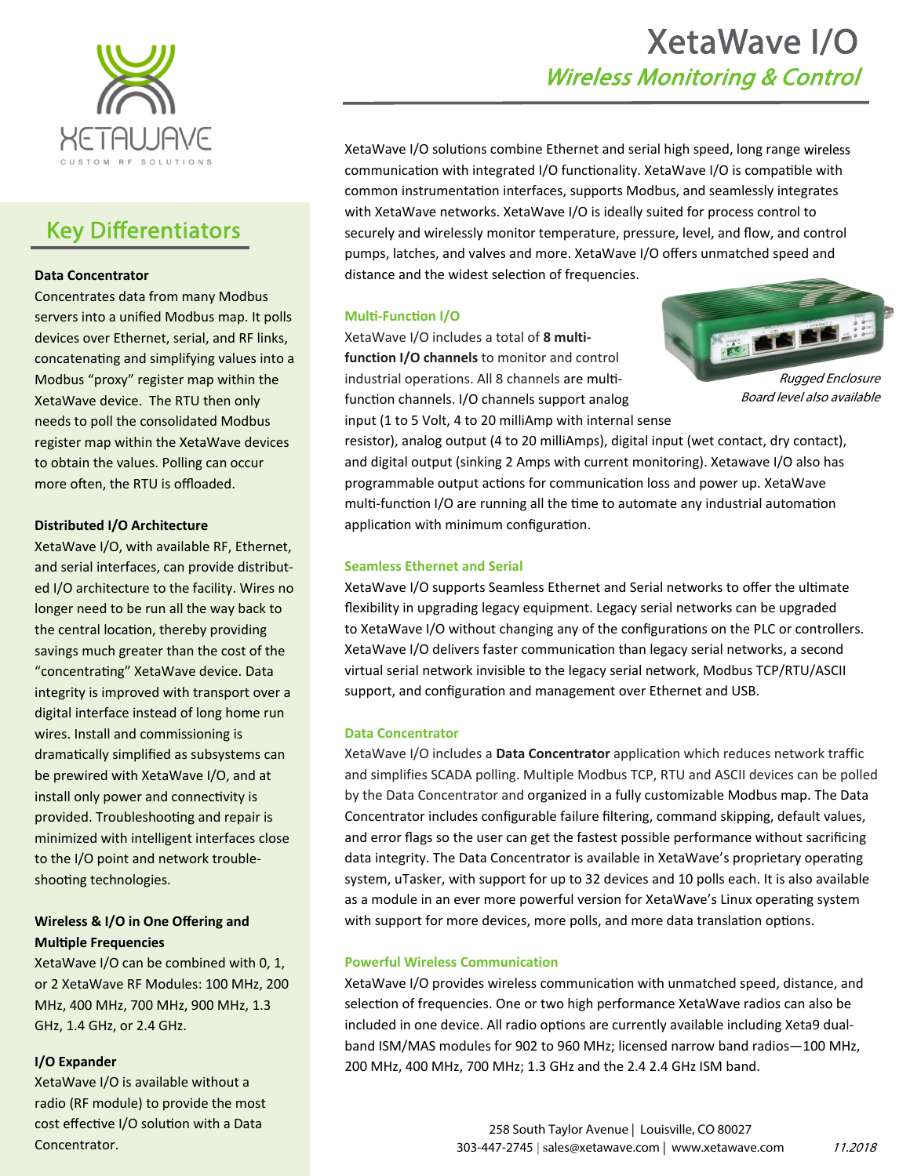

## Key Differentiators

#### **Data Concentrator**

Concentrates data from many Modbus servers into a unified Modbus map. It polls devices over Ethernet, serial, and RF links, concatenating and simplifying values into a Modbus "proxy" register map within the XetaWave device. The RTU then only needs to poll the consolidated Modbus register map within the XetaWave devices to obtain the values. Polling can occur more often, the RTU is offloaded.

#### **Distributed I/O Architecture**

XetaWave I/O, with available RF, Ethernet, and serial interfaces, can provide distribut‐ ed I/O architecture to the facility. Wires no longer need to be run all the way back to the central location, thereby providing savings much greater than the cost of the "concentrating" XetaWave device. Data integrity is improved with transport over a digital interface instead of long home run wires. Install and commissioning is dramaƟcally simplified as subsystems can be prewired with XetaWave I/O, and at install only power and connectivity is provided. Troubleshooting and repair is minimized with intelligent interfaces close to the I/O point and network trouble‐ shooting technologies.

#### **Wireless & I/O in One Offering and MulƟple Frequencies**

XetaWave I/O can be combined with 0, 1, or 2 XetaWave RF Modules: 100 MHz, 200 MHz, 400 MHz, 700 MHz, 900 MHz, 1.3 GHz, 1.4 GHz, or 2.4 GHz.

#### **I/O Expander**

XetaWave I/O is available without a radio (RF module) to provide the most cost effective I/O solution with a Data Concentrator.

# XetaWave I/O Wireless Monitoring & Control

XetaWave I/O solutions combine Ethernet and serial high speed, long range wireless communication with integrated I/O functionality. XetaWave I/O is compatible with common instrumentation interfaces, supports Modbus, and seamlessly integrates with XetaWave networks. XetaWave I/O is ideally suited for process control to securely and wirelessly monitor temperature, pressure, level, and flow, and control pumps, latches, and valves and more. XetaWave I/O offers unmatched speed and distance and the widest selection of frequencies.

#### **Multi-Function I/O**

XetaWave I/O includes a total of **8 multi‐ function I/O channels** to monitor and control industrial operations. All 8 channels are multifunction channels. I/O channels support analog input (1 to 5 Volt, 4 to 20 milliAmp with internal sense



Rugged Enclosure Board level also available

resistor), analog output (4 to 20 milliAmps), digital input (wet contact, dry contact), and digital output (sinking 2 Amps with current monitoring). Xetawave I/O also has programmable output actions for communication loss and power up. XetaWave multi-function I/O are running all the time to automate any industrial automation application with minimum configuration.

#### **Seamless Ethernet and Serial**

XetaWave I/O supports Seamless Ethernet and Serial networks to offer the ultimate flexibility in upgrading legacy equipment. Legacy serial networks can be upgraded to XetaWave I/O without changing any of the configurations on the PLC or controllers. XetaWave I/O delivers faster communication than legacy serial networks, a second virtual serial network invisible to the legacy serial network, Modbus TCP/RTU/ASCII support, and configuration and management over Ethernet and USB.

#### **Data Concentrator**

XetaWave I/O includes a **Data Concentrator** application which reduces network traffic and simplifies SCADA polling. Multiple Modbus TCP, RTU and ASCII devices can be polled by the Data Concentrator and organized in a fully customizable Modbus map. The Data Concentrator includes configurable failure filtering, command skipping, default values, and error flags so the user can get the fastest possible performance without sacrificing data integrity. The Data Concentrator is available in XetaWave's proprietary operating system, uTasker, with support for up to 32 devices and 10 polls each. It is also available as a module in an ever more powerful version for XetaWave's Linux operating system with support for more devices, more polls, and more data translation options.

#### **Powerful Wireless Communication**

XetaWave I/O provides wireless communication with unmatched speed, distance, and selection of frequencies. One or two high performance XetaWave radios can also be included in one device. All radio options are currently available including Xeta9 dualband ISM/MAS modules for 902 to 960 MHz; licensed narrow band radios—100 MHz, 200 MHz, 400 MHz, 700 MHz; 1.3 GHz and the 2.4 2.4 GHz ISM band.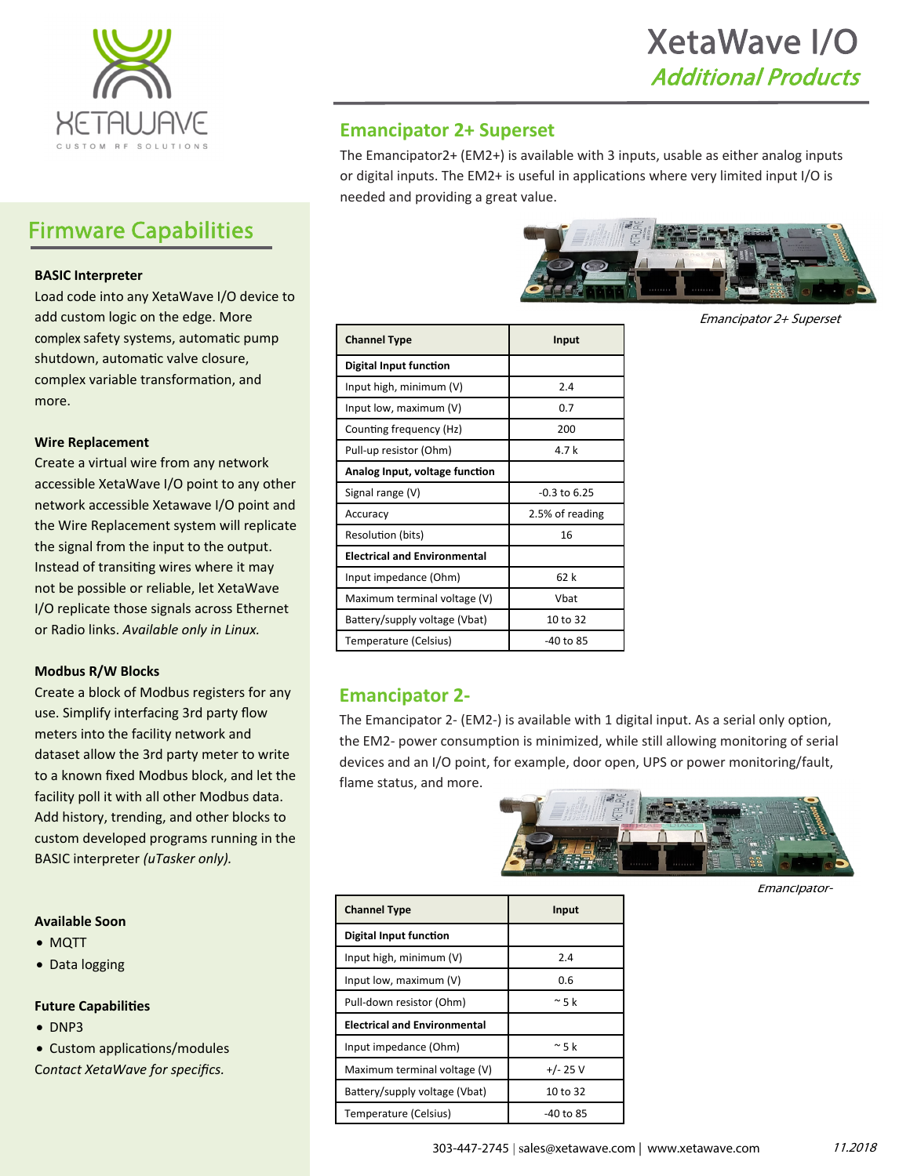

## Firmware Capabilities

#### **BASIC Interpreter**

Load code into any XetaWave I/O device to add custom logic on the edge. More complex safety systems, automatic pump shutdown, automatic valve closure, complex variable transformation, and more.

#### **Wire Replacement**

Create a virtual wire from any network accessible XetaWave I/O point to any other network accessible Xetawave I/O point and the Wire Replacement system will replicate the signal from the input to the output. Instead of transiting wires where it may not be possible or reliable, let XetaWave I/O replicate those signals across Ethernet or Radio links. *Available only in Linux.*

#### **Modbus R/W Blocks**

Create a block of Modbus registers for any use. Simplify interfacing 3rd party flow meters into the facility network and dataset allow the 3rd party meter to write to a known fixed Modbus block, and let the facility poll it with all other Modbus data. Add history, trending, and other blocks to custom developed programs running in the BASIC interpreter *(uTasker only).*

#### **Available Soon**

- MQTT
- Data logging

#### **Future CapabiliƟes**

- $\bullet$  DNP3
- Custom applications/modules

C*ontact XetaWave for specifics.* 

### **Emancipator 2+ Superset**

The Emancipator2+ (EM2+) is available with 3 inputs, usable as either analog inputs or digital inputs. The EM2+ is useful in applications where very limited input I/O is needed and providing a great value.



Emancipator 2+ Superset

| <b>Channel Type</b>                 | Input           |  |
|-------------------------------------|-----------------|--|
| Digital Input function              |                 |  |
| Input high, minimum (V)             | 2.4             |  |
| Input low, maximum $(V)$            | 0.7             |  |
| Counting frequency (Hz)             | 200             |  |
| Pull-up resistor (Ohm)              | 4.7 k           |  |
| Analog Input, voltage function      |                 |  |
| Signal range (V)                    | -0.3 to 6.25    |  |
| Accuracy                            | 2.5% of reading |  |
| Resolution (bits)                   | 16              |  |
| <b>Electrical and Environmental</b> |                 |  |
| Input impedance (Ohm)               | 62 k            |  |
| Maximum terminal voltage (V)        | Vbat            |  |
| Battery/supply voltage (Vbat)       | 10 to 32        |  |
| Temperature (Celsius)               | -40 to 85       |  |

### **Emancipator 2‐**

The Emancipator 2‐ (EM2‐) is available with 1 digital input. As a serial only option, the EM2‐ power consumption is minimized, while still allowing monitoring of serial devices and an I/O point, for example, door open, UPS or power monitoring/fault, flame status, and more.



Emancipator-

| <b>Channel Type</b>                 | <b>Input</b> |  |  |  |  |
|-------------------------------------|--------------|--|--|--|--|
| Digital Input function              |              |  |  |  |  |
| Input high, minimum $(V)$           | 2.4          |  |  |  |  |
| Input low, maximum (V)              | 0.6          |  |  |  |  |
| Pull-down resistor (Ohm)            | $~\sim$ 5 k  |  |  |  |  |
| <b>Electrical and Environmental</b> |              |  |  |  |  |
| Input impedance (Ohm)               | $~\sim$ 5 k  |  |  |  |  |
| Maximum terminal voltage (V)        | $+/- 25$ V   |  |  |  |  |
| Battery/supply voltage (Vbat)       | 10 to 32     |  |  |  |  |
| Temperature (Celsius)               | -40 to 85    |  |  |  |  |